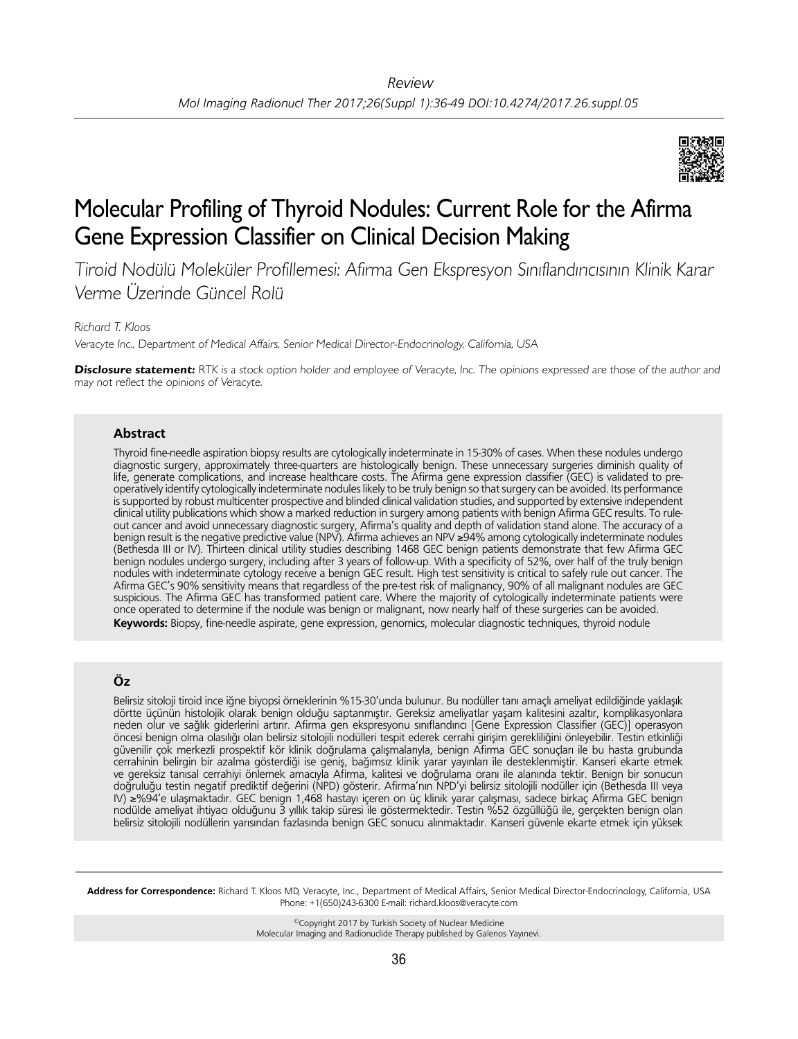

# Molecular Profiling of Thyroid Nodules: Current Role for the Afirma Gene Expression Classifier on Clinical Decision Making

Tiroid Nodülü Moleküler Profillemesi: Afirma Gen Ekspresyon Sınıflandırıcısının Klinik Karar Verme Üzerinde Güncel Rolü

*Richard T. Kloos*

Veracyte Inc., Department of Medical Affairs, Senior Medical Director-Endocrinology, California, USA

**Disclosure statement:** RTK is a stock option holder and employee of Veracyte, Inc. The opinions expressed are those of the author and may not reflect the opinions of Veracyte.

### **Abstract**

Thyroid fine-needle aspiration biopsy results are cytologically indeterminate in 15-30% of cases. When these nodules undergo diagnostic surgery, approximately three-quarters are histologically benign. These unnecessary surgeries diminish quality of life, generate complications, and increase healthcare costs. The Afirma gene expression classifier (GEC) is validated to preoperatively identify cytologically indeterminate nodules likely to be truly benign so that surgery can be avoided. Its performance is supported by robust multicenter prospective and blinded clinical validation studies, and supported by extensive independent clinical utility publications which show a marked reduction in surgery among patients with benign Afirma GEC results. To ruleout cancer and avoid unnecessary diagnostic surgery, Afirma's quality and depth of validation stand alone. The accuracy of a benign result is the negative predictive value (NPV). Afirma achieves an NPV ≥94% among cytologically indeterminate nodules (Bethesda III or IV). Thirteen clinical utility studies describing 1468 GEC benign patients demonstrate that few Afirma GEC benign nodules undergo surgery, including after 3 years of follow-up. With a specificity of 52%, over half of the truly benign nodules with indeterminate cytology receive a benign GEC result. High test sensitivity is critical to safely rule out cancer. The Afirma GEC's 90% sensitivity means that regardless of the pre-test risk of malignancy, 90% of all malignant nodules are GEC suspicious. The Afirma GEC has transformed patient care. Where the majority of cytologically indeterminate patients were once operated to determine if the nodule was benign or malignant, now nearly half of these surgeries can be avoided. **Keywords:** Biopsy, fine-needle aspirate, gene expression, genomics, molecular diagnostic techniques, thyroid nodule

## **Öz**

Belirsiz sitoloji tiroid ince iğne biyopsi örneklerinin %15-30'unda bulunur. Bu nodüller tanı amaçlı ameliyat edildiğinde yaklaşık dörtte üçünün histolojik olarak benign olduğu saptanmıştır. Gereksiz ameliyatlar yaşam kalitesini azaltır, komplikasyonlara neden olur ve sağlık giderlerini artırır. Afirma gen ekspresyonu sınıflandırıcı [Gene Expression Classifier (GEC)] operasyon öncesi benign olma olasılığı olan belirsiz sitolojili nodülleri tespit ederek cerrahi girişim gerekliliğini önleyebilir. Testin etkinliği güvenilir çok merkezli prospektif kör klinik doğrulama çalışmalarıyla, benign Afirma GEC sonuçları ile bu hasta grubunda cerrahinin belirgin bir azalma gösterdiği ise geniş, bağımsız klinik yarar yayınları ile desteklenmiştir. Kanseri ekarte etmek ve gereksiz tanısal cerrahiyi önlemek amacıyla Afirma, kalitesi ve doğrulama oranı ile alanında tektir. Benign bir sonucun doğruluğu testin negatif prediktif değerini (NPD) gösterir. Afirma'nın NPD'yi belirsiz sitolojili nodüller için (Bethesda III veya IV) ≥%94'e ulaşmaktadır. GEC benign 1,468 hastayı içeren on üç klinik yarar çalışması, sadece birkaç Afirma GEC benign nodülde ameliyat ihtiyacı olduğunu 3 yıllık takip süresi ile göstermektedir. Testin %52 özgüllüğü ile, gerçekten benign olan belirsiz sitolojili nodüllerin yarısından fazlasında benign GEC sonucu alınmaktadır. Kanseri güvenle ekarte etmek için yüksek

**Address for Correspondence:** Richard T. Kloos MD, Veracyte, Inc., Department of Medical Affairs, Senior Medical Director-Endocrinology, California, USA Phone: +1(650)243-6300 E-mail: richard.kloos@veracyte.com

> ©Copyright 2017 by Turkish Society of Nuclear Medicine Molecular Imaging and Radionuclide Therapy published by Galenos Yayınevi.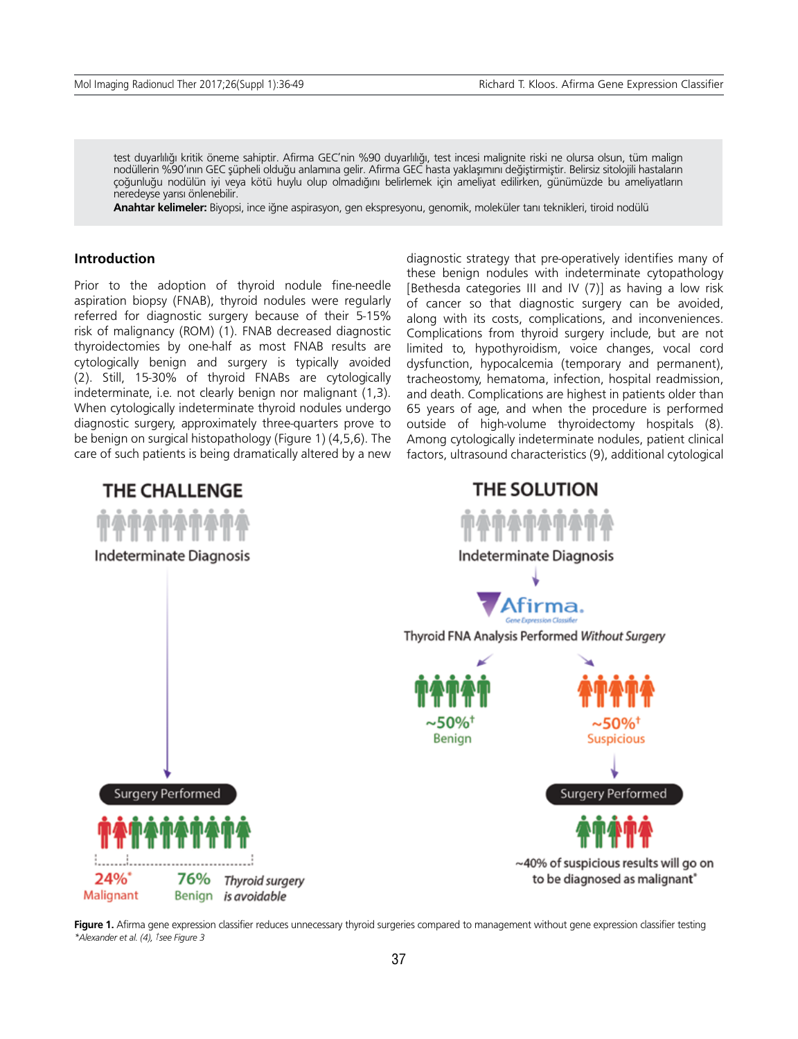test duyarlılığı kritik öneme sahiptir. Afirma GEC'nin %90 duyarlılığı, test incesi malignite riski ne olursa olsun, tüm malign nodüllerin %90'ının GEC şüpheli olduğu anlamına gelir. Afirma GEC hasta yaklaşımını değiştirmiştir. Belirsiz sitolojili hastaların çoğunluğu nodülün iyi veya kötü huylu olup olmadığını belirlemek için ameliyat edilirken, günümüzde bu ameliyatların neredeyse yarısı önlenebilir.

**Anahtar kelimeler:** Biyopsi, ince iğne aspirasyon, gen ekspresyonu, genomik, moleküler tanı teknikleri, tiroid nodülü

### **Introduction**

Prior to the adoption of thyroid nodule fine-needle aspiration biopsy (FNAB), thyroid nodules were regularly referred for diagnostic surgery because of their 5-15% risk of malignancy (ROM) (1). FNAB decreased diagnostic thyroidectomies by one-half as most FNAB results are cytologically benign and surgery is typically avoided (2). Still, 15-30% of thyroid FNABs are cytologically indeterminate, i.e. not clearly benign nor malignant (1,3). When cytologically indeterminate thyroid nodules undergo diagnostic surgery, approximately three-quarters prove to be benign on surgical histopathology (Figure 1) (4,5,6). The care of such patients is being dramatically altered by a new diagnostic strategy that pre-operatively identifies many of these benign nodules with indeterminate cytopathology [Bethesda categories III and IV (7)] as having a low risk of cancer so that diagnostic surgery can be avoided, along with its costs, complications, and inconveniences. Complications from thyroid surgery include, but are not limited to, hypothyroidism, voice changes, vocal cord dysfunction, hypocalcemia (temporary and permanent), tracheostomy, hematoma, infection, hospital readmission, and death. Complications are highest in patients older than 65 years of age, and when the procedure is performed outside of high-volume thyroidectomy hospitals (8). Among cytologically indeterminate nodules, patient clinical factors, ultrasound characteristics (9), additional cytological



Figure 1. Afirma gene expression classifier reduces unnecessary thyroid surgeries compared to management without gene expression classifier testing *\*Alexander et al. (4), †see Figure 3*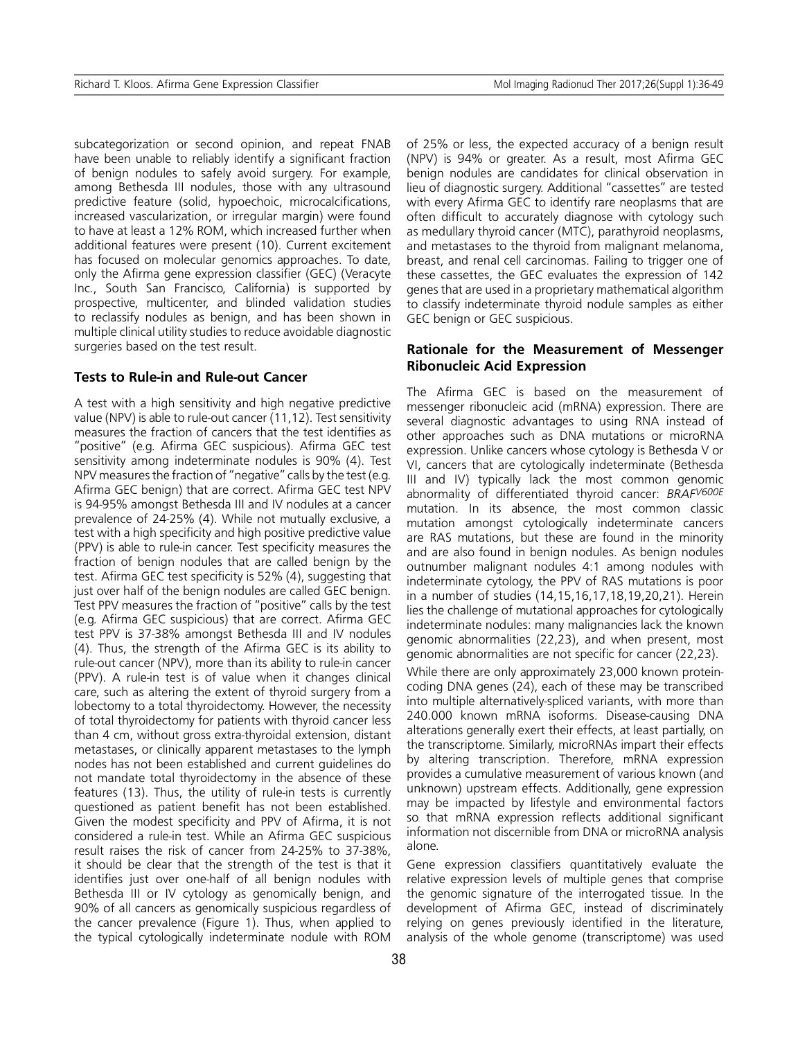subcategorization or second opinion, and repeat FNAB have been unable to reliably identify a significant fraction of benign nodules to safely avoid surgery. For example, among Bethesda III nodules, those with any ultrasound predictive feature (solid, hypoechoic, microcalcifications, increased vascularization, or irregular margin) were found to have at least a 12% ROM, which increased further when additional features were present (10). Current excitement has focused on molecular genomics approaches. To date, only the Afirma gene expression classifier (GEC) (Veracyte Inc., South San Francisco, California) is supported by prospective, multicenter, and blinded validation studies to reclassify nodules as benign, and has been shown in multiple clinical utility studies to reduce avoidable diagnostic surgeries based on the test result.

### **Tests to Rule-in and Rule-out Cancer**

A test with a high sensitivity and high negative predictive value (NPV) is able to rule-out cancer (11,12). Test sensitivity measures the fraction of cancers that the test identifies as "positive" (e.g. Afirma GEC suspicious). Afirma GEC test sensitivity among indeterminate nodules is 90% (4). Test NPV measures the fraction of "negative" calls by the test (e.g. Afirma GEC benign) that are correct. Afirma GEC test NPV is 94-95% amongst Bethesda III and IV nodules at a cancer prevalence of 24-25% (4). While not mutually exclusive, a test with a high specificity and high positive predictive value (PPV) is able to rule-in cancer. Test specificity measures the fraction of benign nodules that are called benign by the test. Afirma GEC test specificity is 52% (4), suggesting that just over half of the benign nodules are called GEC benign. Test PPV measures the fraction of "positive" calls by the test (e.g. Afirma GEC suspicious) that are correct. Afirma GEC test PPV is 37-38% amongst Bethesda III and IV nodules (4). Thus, the strength of the Afirma GEC is its ability to rule-out cancer (NPV), more than its ability to rule-in cancer (PPV). A rule-in test is of value when it changes clinical care, such as altering the extent of thyroid surgery from a lobectomy to a total thyroidectomy. However, the necessity of total thyroidectomy for patients with thyroid cancer less than 4 cm, without gross extra-thyroidal extension, distant metastases, or clinically apparent metastases to the lymph nodes has not been established and current guidelines do not mandate total thyroidectomy in the absence of these features (13). Thus, the utility of rule-in tests is currently questioned as patient benefit has not been established. Given the modest specificity and PPV of Afirma, it is not considered a rule-in test. While an Afirma GEC suspicious result raises the risk of cancer from 24-25% to 37-38%, it should be clear that the strength of the test is that it identifies just over one-half of all benign nodules with Bethesda III or IV cytology as genomically benign, and 90% of all cancers as genomically suspicious regardless of the cancer prevalence (Figure 1). Thus, when applied to the typical cytologically indeterminate nodule with ROM of 25% or less, the expected accuracy of a benign result (NPV) is 94% or greater. As a result, most Afirma GEC benign nodules are candidates for clinical observation in lieu of diagnostic surgery. Additional "cassettes" are tested with every Afirma GEC to identify rare neoplasms that are often difficult to accurately diagnose with cytology such as medullary thyroid cancer (MTC), parathyroid neoplasms, and metastases to the thyroid from malignant melanoma, breast, and renal cell carcinomas. Failing to trigger one of these cassettes, the GEC evaluates the expression of 142 genes that are used in a proprietary mathematical algorithm to classify indeterminate thyroid nodule samples as either GEC benign or GEC suspicious.

### **Rationale for the Measurement of Messenger Ribonucleic Acid Expression**

The Afirma GEC is based on the measurement of messenger ribonucleic acid (mRNA) expression. There are several diagnostic advantages to using RNA instead of other approaches such as DNA mutations or microRNA expression. Unlike cancers whose cytology is Bethesda V or VI, cancers that are cytologically indeterminate (Bethesda III and IV) typically lack the most common genomic abnormality of differentiated thyroid cancer: *BRAFV600E* mutation. In its absence, the most common classic mutation amongst cytologically indeterminate cancers are RAS mutations, but these are found in the minority and are also found in benign nodules. As benign nodules outnumber malignant nodules 4:1 among nodules with indeterminate cytology, the PPV of RAS mutations is poor in a number of studies (14,15,16,17,18,19,20,21). Herein lies the challenge of mutational approaches for cytologically indeterminate nodules: many malignancies lack the known genomic abnormalities (22,23), and when present, most genomic abnormalities are not specific for cancer (22,23).

While there are only approximately 23,000 known proteincoding DNA genes (24), each of these may be transcribed into multiple alternatively-spliced variants, with more than 240.000 known mRNA isoforms. Disease-causing DNA alterations generally exert their effects, at least partially, on the transcriptome. Similarly, microRNAs impart their effects by altering transcription. Therefore, mRNA expression provides a cumulative measurement of various known (and unknown) upstream effects. Additionally, gene expression may be impacted by lifestyle and environmental factors so that mRNA expression reflects additional significant information not discernible from DNA or microRNA analysis alone.

Gene expression classifiers quantitatively evaluate the relative expression levels of multiple genes that comprise the genomic signature of the interrogated tissue. In the development of Afirma GEC, instead of discriminately relying on genes previously identified in the literature, analysis of the whole genome (transcriptome) was used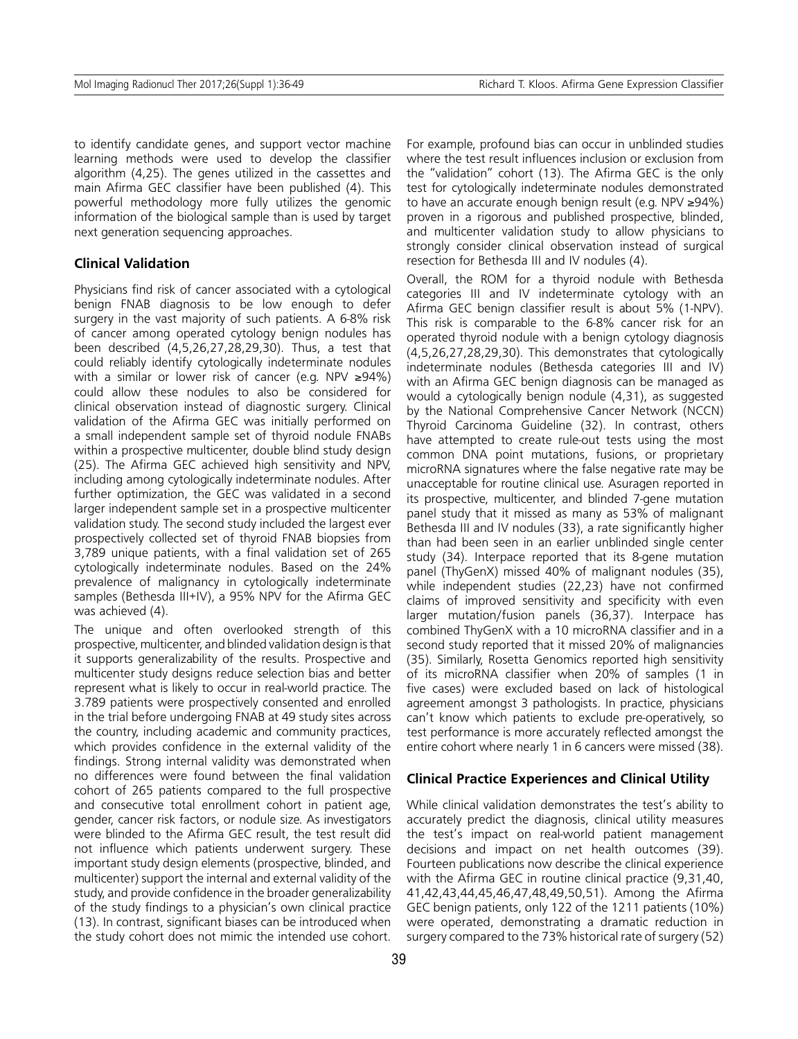to identify candidate genes, and support vector machine learning methods were used to develop the classifier algorithm (4,25). The genes utilized in the cassettes and main Afirma GEC classifier have been published (4). This powerful methodology more fully utilizes the genomic information of the biological sample than is used by target next generation sequencing approaches.

### **Clinical Validation**

Physicians find risk of cancer associated with a cytological benign FNAB diagnosis to be low enough to defer surgery in the vast majority of such patients. A 6-8% risk of cancer among operated cytology benign nodules has been described (4,5,26,27,28,29,30). Thus, a test that could reliably identify cytologically indeterminate nodules with a similar or lower risk of cancer (e.g. NPV ≥94%) could allow these nodules to also be considered for clinical observation instead of diagnostic surgery. Clinical validation of the Afirma GEC was initially performed on a small independent sample set of thyroid nodule FNABs within a prospective multicenter, double blind study design (25). The Afirma GEC achieved high sensitivity and NPV, including among cytologically indeterminate nodules. After further optimization, the GEC was validated in a second larger independent sample set in a prospective multicenter validation study. The second study included the largest ever prospectively collected set of thyroid FNAB biopsies from 3,789 unique patients, with a final validation set of 265 cytologically indeterminate nodules. Based on the 24% prevalence of malignancy in cytologically indeterminate samples (Bethesda III+IV), a 95% NPV for the Afirma GEC was achieved (4).

The unique and often overlooked strength of this prospective, multicenter, and blinded validation design is that it supports generalizability of the results. Prospective and multicenter study designs reduce selection bias and better represent what is likely to occur in real-world practice. The 3.789 patients were prospectively consented and enrolled in the trial before undergoing FNAB at 49 study sites across the country, including academic and community practices, which provides confidence in the external validity of the findings. Strong internal validity was demonstrated when no differences were found between the final validation cohort of 265 patients compared to the full prospective and consecutive total enrollment cohort in patient age, gender, cancer risk factors, or nodule size. As investigators were blinded to the Afirma GEC result, the test result did not influence which patients underwent surgery. These important study design elements (prospective, blinded, and multicenter) support the internal and external validity of the study, and provide confidence in the broader generalizability of the study findings to a physician's own clinical practice (13). In contrast, significant biases can be introduced when the study cohort does not mimic the intended use cohort.

For example, profound bias can occur in unblinded studies where the test result influences inclusion or exclusion from the "validation" cohort (13). The Afirma GEC is the only test for cytologically indeterminate nodules demonstrated to have an accurate enough benign result (e.g. NPV ≥94%) proven in a rigorous and published prospective, blinded, and multicenter validation study to allow physicians to strongly consider clinical observation instead of surgical resection for Bethesda III and IV nodules (4).

Overall, the ROM for a thyroid nodule with Bethesda categories III and IV indeterminate cytology with an Afirma GEC benign classifier result is about 5% (1-NPV). This risk is comparable to the 6-8% cancer risk for an operated thyroid nodule with a benign cytology diagnosis (4,5,26,27,28,29,30). This demonstrates that cytologically indeterminate nodules (Bethesda categories III and IV) with an Afirma GEC benign diagnosis can be managed as would a cytologically benign nodule (4,31), as suggested by the National Comprehensive Cancer Network (NCCN) Thyroid Carcinoma Guideline (32). In contrast, others have attempted to create rule-out tests using the most common DNA point mutations, fusions, or proprietary microRNA signatures where the false negative rate may be unacceptable for routine clinical use. Asuragen reported in its prospective, multicenter, and blinded 7-gene mutation panel study that it missed as many as 53% of malignant Bethesda III and IV nodules (33), a rate significantly higher than had been seen in an earlier unblinded single center study (34). Interpace reported that its 8-gene mutation panel (ThyGenX) missed 40% of malignant nodules (35), while independent studies (22,23) have not confirmed claims of improved sensitivity and specificity with even larger mutation/fusion panels (36,37). Interpace has combined ThyGenX with a 10 microRNA classifier and in a second study reported that it missed 20% of malignancies (35). Similarly, Rosetta Genomics reported high sensitivity of its microRNA classifier when 20% of samples (1 in five cases) were excluded based on lack of histological agreement amongst 3 pathologists. In practice, physicians can't know which patients to exclude pre-operatively, so test performance is more accurately reflected amongst the entire cohort where nearly 1 in 6 cancers were missed (38).

### **Clinical Practice Experiences and Clinical Utility**

While clinical validation demonstrates the test's ability to accurately predict the diagnosis, clinical utility measures the test's impact on real-world patient management decisions and impact on net health outcomes (39). Fourteen publications now describe the clinical experience with the Afirma GEC in routine clinical practice (9,31,40, 41,42,43,44,45,46,47,48,49,50,51). Among the Afirma GEC benign patients, only 122 of the 1211 patients (10%) were operated, demonstrating a dramatic reduction in surgery compared to the 73% historical rate of surgery (52)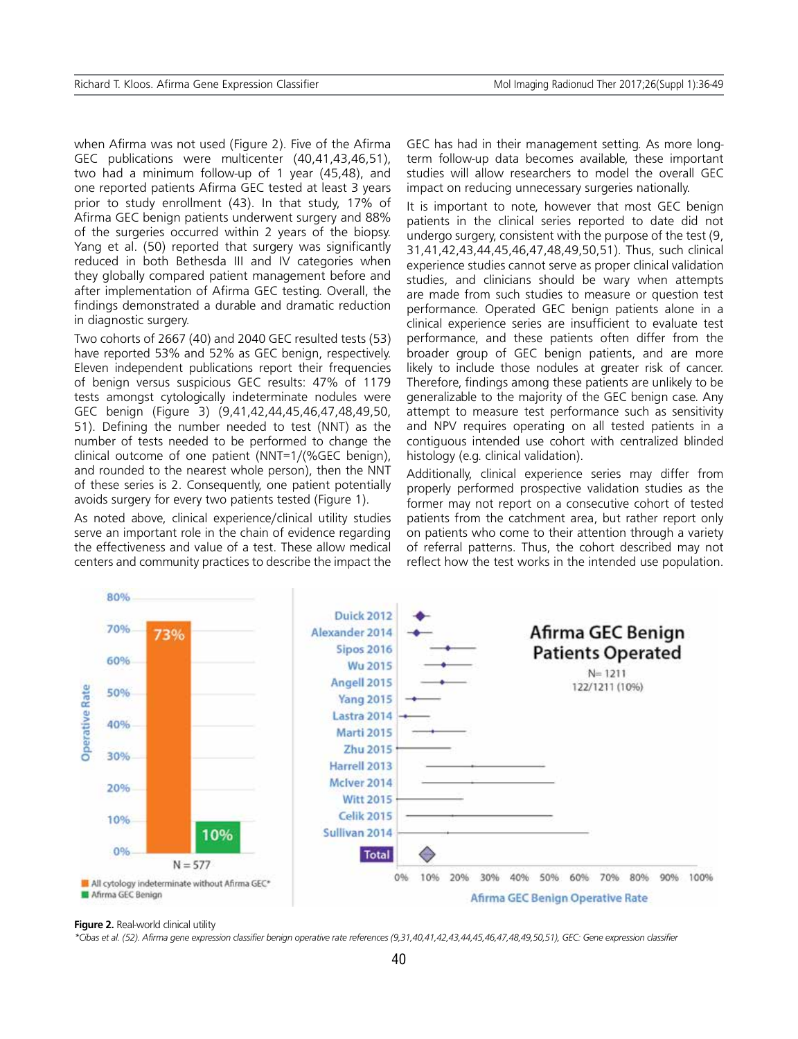when Afirma was not used (Figure 2). Five of the Afirma GEC publications were multicenter (40,41,43,46,51), two had a minimum follow-up of 1 year (45,48), and one reported patients Afirma GEC tested at least 3 years prior to study enrollment (43). In that study, 17% of Afirma GEC benign patients underwent surgery and 88% of the surgeries occurred within 2 years of the biopsy. Yang et al. (50) reported that surgery was significantly reduced in both Bethesda III and IV categories when they globally compared patient management before and after implementation of Afirma GEC testing. Overall, the findings demonstrated a durable and dramatic reduction in diagnostic surgery.

Two cohorts of 2667 (40) and 2040 GEC resulted tests (53) have reported 53% and 52% as GEC benign, respectively. Eleven independent publications report their frequencies of benign versus suspicious GEC results: 47% of 1179 tests amongst cytologically indeterminate nodules were GEC benign (Figure 3) (9,41,42,44,45,46,47,48,49,50, 51). Defining the number needed to test (NNT) as the number of tests needed to be performed to change the clinical outcome of one patient (NNT=1/(%GEC benign), and rounded to the nearest whole person), then the NNT of these series is 2. Consequently, one patient potentially avoids surgery for every two patients tested (Figure 1).

As noted above, clinical experience/clinical utility studies serve an important role in the chain of evidence regarding the effectiveness and value of a test. These allow medical centers and community practices to describe the impact the GEC has had in their management setting. As more longterm follow-up data becomes available, these important studies will allow researchers to model the overall GEC impact on reducing unnecessary surgeries nationally.

It is important to note, however that most GEC benign patients in the clinical series reported to date did not undergo surgery, consistent with the purpose of the test (9, 31,41,42,43,44,45,46,47,48,49,50,51). Thus, such clinical experience studies cannot serve as proper clinical validation studies, and clinicians should be wary when attempts are made from such studies to measure or question test performance. Operated GEC benign patients alone in a clinical experience series are insufficient to evaluate test performance, and these patients often differ from the broader group of GEC benign patients, and are more likely to include those nodules at greater risk of cancer. Therefore, findings among these patients are unlikely to be generalizable to the majority of the GEC benign case. Any attempt to measure test performance such as sensitivity and NPV requires operating on all tested patients in a contiguous intended use cohort with centralized blinded histology (e.g. clinical validation).

Additionally, clinical experience series may differ from properly performed prospective validation studies as the former may not report on a consecutive cohort of tested patients from the catchment area, but rather report only on patients who come to their attention through a variety of referral patterns. Thus, the cohort described may not reflect how the test works in the intended use population.



#### **Figure 2.** Real-world clinical utility

*\*Cibas et al. (52). Afirma gene expression classifier benign operative rate references (9,31,40,41,42,43,44,45,46,47,48,49,50,51), GEC: Gene expression classifier*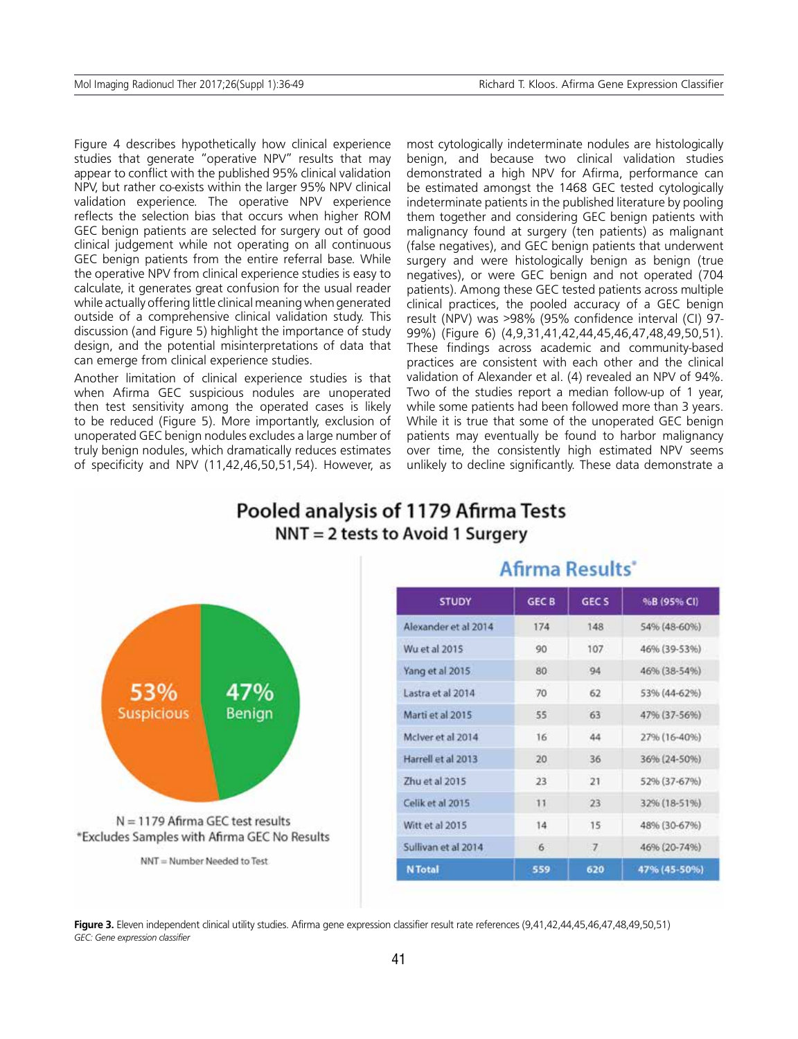Figure 4 describes hypothetically how clinical experience studies that generate "operative NPV" results that may appear to conflict with the published 95% clinical validation NPV, but rather co-exists within the larger 95% NPV clinical validation experience. The operative NPV experience reflects the selection bias that occurs when higher ROM GEC benign patients are selected for surgery out of good clinical judgement while not operating on all continuous GEC benign patients from the entire referral base. While the operative NPV from clinical experience studies is easy to calculate, it generates great confusion for the usual reader while actually offering little clinical meaning when generated outside of a comprehensive clinical validation study. This discussion (and Figure 5) highlight the importance of study design, and the potential misinterpretations of data that can emerge from clinical experience studies.

Another limitation of clinical experience studies is that when Afirma GEC suspicious nodules are unoperated then test sensitivity among the operated cases is likely to be reduced (Figure 5). More importantly, exclusion of unoperated GEC benign nodules excludes a large number of truly benign nodules, which dramatically reduces estimates of specificity and NPV (11,42,46,50,51,54). However, as most cytologically indeterminate nodules are histologically benign, and because two clinical validation studies demonstrated a high NPV for Afirma, performance can be estimated amongst the 1468 GEC tested cytologically indeterminate patients in the published literature by pooling them together and considering GEC benign patients with malignancy found at surgery (ten patients) as malignant (false negatives), and GEC benign patients that underwent surgery and were histologically benign as benign (true negatives), or were GEC benign and not operated (704 patients). Among these GEC tested patients across multiple clinical practices, the pooled accuracy of a GEC benign result (NPV) was >98% (95% confidence interval (CI) 97- 99%) (Figure 6) (4,9,31,41,42,44,45,46,47,48,49,50,51). These findings across academic and community-based practices are consistent with each other and the clinical validation of Alexander et al. (4) revealed an NPV of 94%. Two of the studies report a median follow-up of 1 year, while some patients had been followed more than 3 years. While it is true that some of the unoperated GEC benign patients may eventually be found to harbor malignancy over time, the consistently high estimated NPV seems unlikely to decline significantly. These data demonstrate a

# Pooled analysis of 1179 Afirma Tests NNT = 2 tests to Avoid 1 Surgery



# Afirma Results\*

| <b>STUDY</b>         | <b>GEC B</b> | GEC <sub>S</sub> | <sup>9</sup> oB (95% CI) |
|----------------------|--------------|------------------|--------------------------|
| Alexander et al 2014 | 174          | 148              | 54% (48-60%)             |
| Wu et al 2015        | 90           | 107              | 46% (39-53%)             |
| Yang et al 2015      | 80           | 94               | 46% (38-54%)             |
| Lastra et al 2014    | 70           | 62               | 53% (44-62%)             |
| Marti et al 2015     | 55           | 63               | 47% (37-56%)             |
| McIver et al 2014    | 16           | 44               | 27% (16-40%)             |
| Harrell et al 2013   | 20           | 36               | 36% (24-50%)             |
| Zhu et al 2015       | 23           | 21               | 52% (37-67%)             |
| Celik et al 2015     | 11           | 23               | 32% (18-51%)             |
| Witt et al 2015      | 14           | 15               | 48% (30-67%)             |
| Sullivan et al 2014  | 6            | $\overline{7}$   | 46% (20-74%)             |
| <b>N</b> Total       | 559          | 620              | 47% (45-50%)             |

**Figure 3.** Eleven independent clinical utility studies. Afirma gene expression classifier result rate references (9,41,42,44,45,46,47,48,49,50,51) *GEC: Gene expression classifier*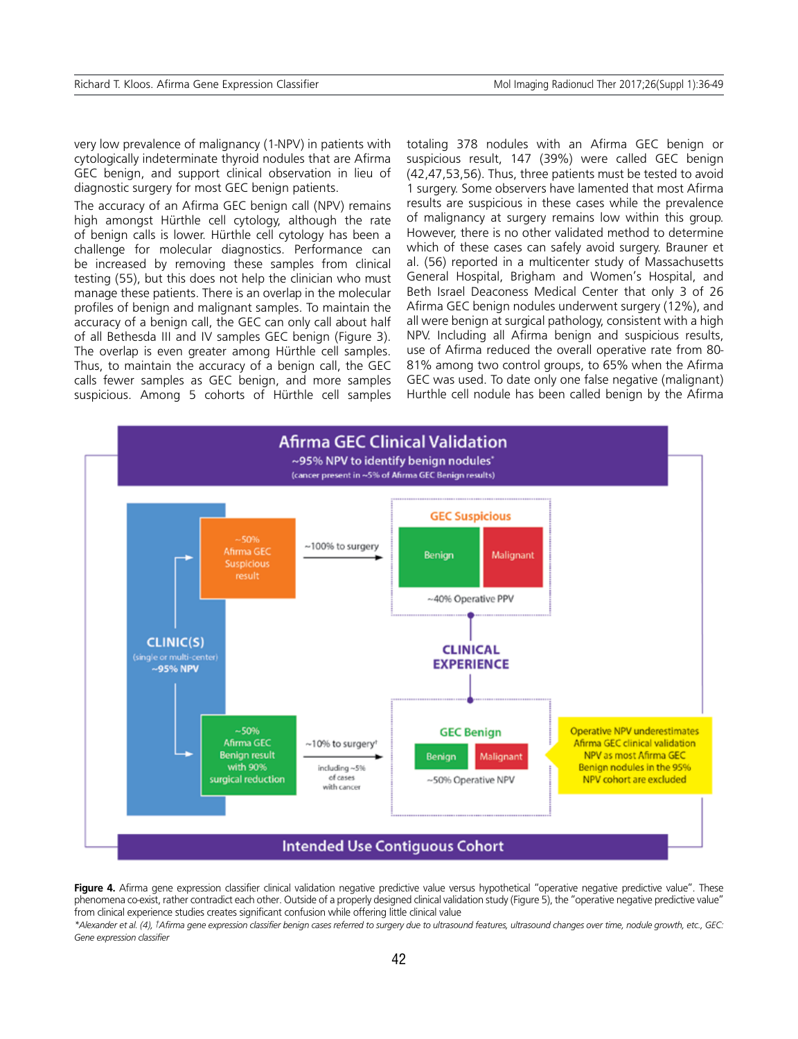very low prevalence of malignancy (1-NPV) in patients with cytologically indeterminate thyroid nodules that are Afirma GEC benign, and support clinical observation in lieu of diagnostic surgery for most GEC benign patients.

The accuracy of an Afirma GEC benign call (NPV) remains high amongst Hürthle cell cytology, although the rate of benign calls is lower. Hürthle cell cytology has been a challenge for molecular diagnostics. Performance can be increased by removing these samples from clinical testing (55), but this does not help the clinician who must manage these patients. There is an overlap in the molecular profiles of benign and malignant samples. To maintain the accuracy of a benign call, the GEC can only call about half of all Bethesda III and IV samples GEC benign (Figure 3). The overlap is even greater among Hürthle cell samples. Thus, to maintain the accuracy of a benign call, the GEC calls fewer samples as GEC benign, and more samples suspicious. Among 5 cohorts of Hürthle cell samples totaling 378 nodules with an Afirma GEC benign or suspicious result, 147 (39%) were called GEC benign (42,47,53,56). Thus, three patients must be tested to avoid 1 surgery. Some observers have lamented that most Afirma results are suspicious in these cases while the prevalence of malignancy at surgery remains low within this group. However, there is no other validated method to determine which of these cases can safely avoid surgery. Brauner et al. (56) reported in a multicenter study of Massachusetts General Hospital, Brigham and Women's Hospital, and Beth Israel Deaconess Medical Center that only 3 of 26 Afirma GEC benign nodules underwent surgery (12%), and all were benign at surgical pathology, consistent with a high NPV. Including all Afirma benign and suspicious results, use of Afirma reduced the overall operative rate from 80- 81% among two control groups, to 65% when the Afirma GEC was used. To date only one false negative (malignant) Hurthle cell nodule has been called benign by the Afirma



Figure 4. Afirma gene expression classifier clinical validation negative predictive value versus hypothetical "operative negative predictive value". These phenomena co-exist, rather contradict each other. Outside of a properly designed clinical validation study (Figure 5), the "operative negative predictive value" from clinical experience studies creates significant confusion while offering little clinical value

*\*Alexander et al. (4), †Afirma gene expression classifier benign cases referred to surgery due to ultrasound features, ultrasound changes over time, nodule growth, etc., GEC: Gene expression classifier*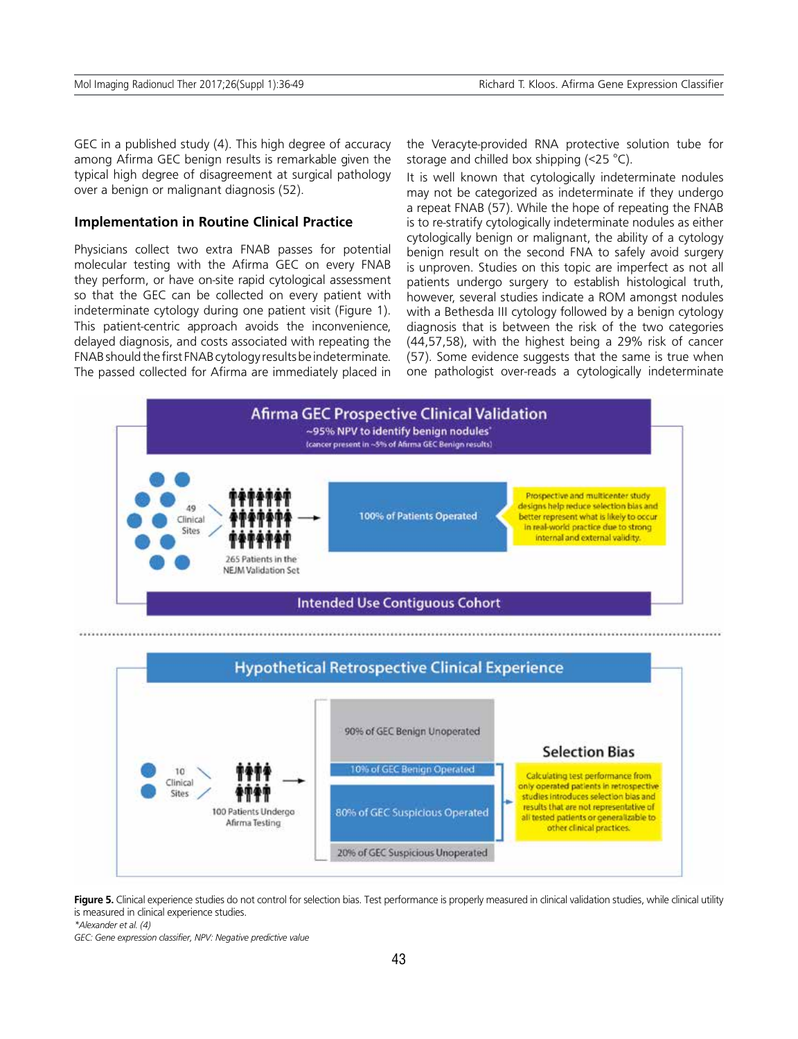GEC in a published study (4). This high degree of accuracy among Afirma GEC benign results is remarkable given the typical high degree of disagreement at surgical pathology over a benign or malignant diagnosis (52).

### **Implementation in Routine Clinical Practice**

Physicians collect two extra FNAB passes for potential molecular testing with the Afirma GEC on every FNAB they perform, or have on-site rapid cytological assessment so that the GEC can be collected on every patient with indeterminate cytology during one patient visit (Figure 1). This patient-centric approach avoids the inconvenience, delayed diagnosis, and costs associated with repeating the FNAB should the first FNAB cytology results be indeterminate. The passed collected for Afirma are immediately placed in the Veracyte-provided RNA protective solution tube for storage and chilled box shipping (<25 °C).

It is well known that cytologically indeterminate nodules may not be categorized as indeterminate if they undergo a repeat FNAB (57). While the hope of repeating the FNAB is to re-stratify cytologically indeterminate nodules as either cytologically benign or malignant, the ability of a cytology benign result on the second FNA to safely avoid surgery is unproven. Studies on this topic are imperfect as not all patients undergo surgery to establish histological truth, however, several studies indicate a ROM amongst nodules with a Bethesda III cytology followed by a benign cytology diagnosis that is between the risk of the two categories (44,57,58), with the highest being a 29% risk of cancer (57). Some evidence suggests that the same is true when one pathologist over-reads a cytologically indeterminate



Figure 5. Clinical experience studies do not control for selection bias. Test performance is properly measured in clinical validation studies, while clinical utility is measured in clinical experience studies.

*\*Alexander et al. (4)*

*GEC: Gene expression classifier, NPV: Negative predictive value*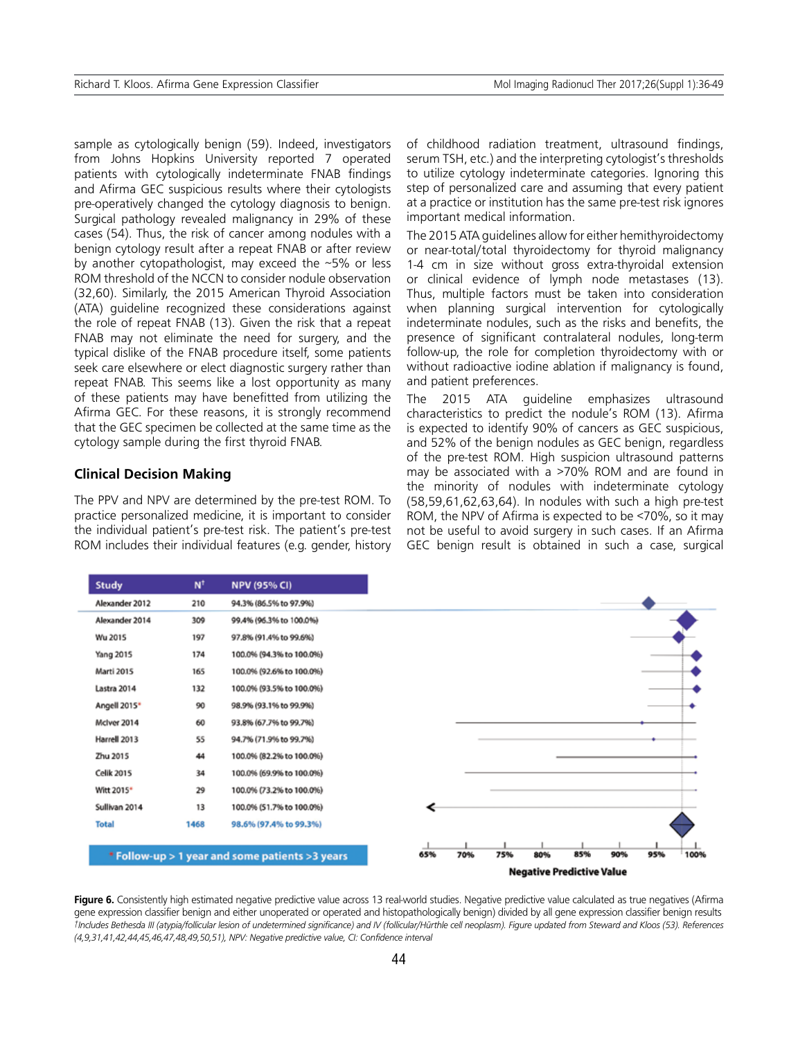sample as cytologically benign (59). Indeed, investigators from Johns Hopkins University reported 7 operated patients with cytologically indeterminate FNAB findings and Afirma GEC suspicious results where their cytologists pre-operatively changed the cytology diagnosis to benign. Surgical pathology revealed malignancy in 29% of these cases (54). Thus, the risk of cancer among nodules with a benign cytology result after a repeat FNAB or after review by another cytopathologist, may exceed the ~5% or less ROM threshold of the NCCN to consider nodule observation (32,60). Similarly, the 2015 American Thyroid Association (ATA) guideline recognized these considerations against the role of repeat FNAB (13). Given the risk that a repeat FNAB may not eliminate the need for surgery, and the typical dislike of the FNAB procedure itself, some patients seek care elsewhere or elect diagnostic surgery rather than repeat FNAB. This seems like a lost opportunity as many of these patients may have benefitted from utilizing the Afirma GEC. For these reasons, it is strongly recommend that the GEC specimen be collected at the same time as the cytology sample during the first thyroid FNAB.

### **Clinical Decision Making**

The PPV and NPV are determined by the pre-test ROM. To practice personalized medicine, it is important to consider the individual patient's pre-test risk. The patient's pre-test ROM includes their individual features (e.g. gender, history of childhood radiation treatment, ultrasound findings, serum TSH, etc.) and the interpreting cytologist's thresholds to utilize cytology indeterminate categories. Ignoring this step of personalized care and assuming that every patient at a practice or institution has the same pre-test risk ignores important medical information.

The 2015 ATA guidelines allow for either hemithyroidectomy or near-total/total thyroidectomy for thyroid malignancy 1-4 cm in size without gross extra-thyroidal extension or clinical evidence of lymph node metastases (13). Thus, multiple factors must be taken into consideration when planning surgical intervention for cytologically indeterminate nodules, such as the risks and benefits, the presence of significant contralateral nodules, long-term follow-up, the role for completion thyroidectomy with or without radioactive iodine ablation if malignancy is found, and patient preferences.

The 2015 ATA guideline emphasizes ultrasound characteristics to predict the nodule's ROM (13). Afirma is expected to identify 90% of cancers as GEC suspicious, and 52% of the benign nodules as GEC benign, regardless of the pre-test ROM. High suspicion ultrasound patterns may be associated with a >70% ROM and are found in the minority of nodules with indeterminate cytology (58,59,61,62,63,64). In nodules with such a high pre-test ROM, the NPV of Afirma is expected to be <70%, so it may not be useful to avoid surgery in such cases. If an Afirma GEC benign result is obtained in such a case, surgical

| <b>Study</b>      | $N^{\dagger}$ | <b>NPV (95% CI)</b>                              |     |     |                                  |     |     |     |     |      |
|-------------------|---------------|--------------------------------------------------|-----|-----|----------------------------------|-----|-----|-----|-----|------|
| Alexander 2012    | 210           | 94.3% (86.5% to 97.9%)                           |     |     |                                  |     |     |     |     |      |
| Alexander 2014    | 309           | 99.4% (96.3% to 100.0%)                          |     |     |                                  |     |     |     |     |      |
| Wu 2015           | 197           | 97.8% (91.4% to 99.6%)                           |     |     |                                  |     |     |     |     |      |
| <b>Yang 2015</b>  | 174           | 100.0% (94.3% to 100.0%)                         |     |     |                                  |     |     |     |     |      |
| Marti 2015        | 165           | 100.0% (92.6% to 100.0%)                         |     |     |                                  |     |     |     |     |      |
| Lastra 2014       | 132           | 100.0% (93.5% to 100.0%)                         |     |     |                                  |     |     |     |     |      |
| Angell 2015*      | 90            | 98.9% (93.1% to 99.9%)                           |     |     |                                  |     |     |     |     |      |
| McIver 2014       | 60            | 93.8% (67.7% to 99.7%)                           |     |     |                                  |     |     |     |     |      |
| Harrell 2013      | 55            | 94.7% (71.9% to 99.7%)                           |     |     |                                  |     |     |     |     |      |
| Zhu 2015          | 44            | 100.0% (82.2% to 100.0%)                         |     |     |                                  |     |     |     |     |      |
| <b>Celik 2015</b> | 34            | 100.0% (69.9% to 100.0%)                         |     |     |                                  |     |     |     |     |      |
| Witt 2015*        | 29            | 100.0% (73.2% to 100.0%)                         |     |     |                                  |     |     |     |     |      |
| Sullivan 2014     | 13            | 100.0% (51.7% to 100.0%)                         |     |     |                                  |     |     |     |     |      |
| <b>Total</b>      | 1468          | 98.6% (97.4% to 99.3%)                           |     |     |                                  |     |     |     |     |      |
|                   |               |                                                  |     |     |                                  |     |     |     |     |      |
|                   |               | * Follow-up > 1 year and some patients > 3 years | 65% | 70% | 75%                              | 80% | 85% | 90% | 95% | 100% |
|                   |               |                                                  |     |     | <b>Negative Predictive Value</b> |     |     |     |     |      |

Figure 6. Consistently high estimated negative predictive value across 13 real-world studies. Negative predictive value calculated as true negatives (Afirma gene expression classifier benign and either unoperated or operated and histopathologically benign) divided by all gene expression classifier benign results *†Includes Bethesda III (atypia/follicular lesion of undetermined significance) and IV (follicular/Hürthle cell neoplasm). Figure updated from Steward and Kloos (53). References (4,9,31,41,42,44,45,46,47,48,49,50,51), NPV: Negative predictive value, CI: Confidence interval*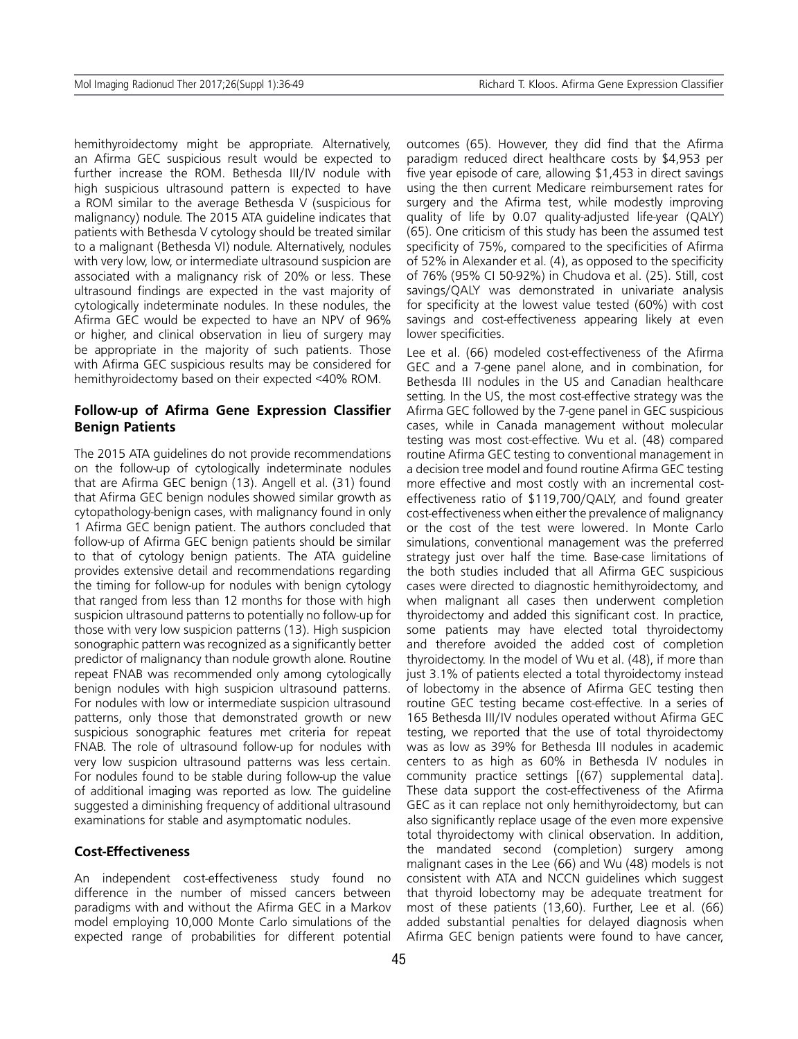hemithyroidectomy might be appropriate. Alternatively, an Afirma GEC suspicious result would be expected to further increase the ROM. Bethesda III/IV nodule with high suspicious ultrasound pattern is expected to have a ROM similar to the average Bethesda V (suspicious for malignancy) nodule. The 2015 ATA guideline indicates that patients with Bethesda V cytology should be treated similar to a malignant (Bethesda VI) nodule. Alternatively, nodules with very low, low, or intermediate ultrasound suspicion are associated with a malignancy risk of 20% or less. These ultrasound findings are expected in the vast majority of cytologically indeterminate nodules. In these nodules, the Afirma GEC would be expected to have an NPV of 96% or higher, and clinical observation in lieu of surgery may be appropriate in the majority of such patients. Those with Afirma GEC suspicious results may be considered for hemithyroidectomy based on their expected <40% ROM.

### **Follow-up of Afirma Gene Expression Classifier Benign Patients**

The 2015 ATA guidelines do not provide recommendations on the follow-up of cytologically indeterminate nodules that are Afirma GEC benign (13). Angell et al. (31) found that Afirma GEC benign nodules showed similar growth as cytopathology-benign cases, with malignancy found in only 1 Afirma GEC benign patient. The authors concluded that follow-up of Afirma GEC benign patients should be similar to that of cytology benign patients. The ATA guideline provides extensive detail and recommendations regarding the timing for follow-up for nodules with benign cytology that ranged from less than 12 months for those with high suspicion ultrasound patterns to potentially no follow-up for those with very low suspicion patterns (13). High suspicion sonographic pattern was recognized as a significantly better predictor of malignancy than nodule growth alone. Routine repeat FNAB was recommended only among cytologically benign nodules with high suspicion ultrasound patterns. For nodules with low or intermediate suspicion ultrasound patterns, only those that demonstrated growth or new suspicious sonographic features met criteria for repeat FNAB. The role of ultrasound follow-up for nodules with very low suspicion ultrasound patterns was less certain. For nodules found to be stable during follow-up the value of additional imaging was reported as low. The guideline suggested a diminishing frequency of additional ultrasound examinations for stable and asymptomatic nodules.

### **Cost-Effectiveness**

An independent cost-effectiveness study found no difference in the number of missed cancers between paradigms with and without the Afirma GEC in a Markov model employing 10,000 Monte Carlo simulations of the expected range of probabilities for different potential outcomes (65). However, they did find that the Afirma paradigm reduced direct healthcare costs by \$4,953 per five year episode of care, allowing \$1,453 in direct savings using the then current Medicare reimbursement rates for surgery and the Afirma test, while modestly improving quality of life by 0.07 quality-adjusted life-year (QALY) (65). One criticism of this study has been the assumed test specificity of 75%, compared to the specificities of Afirma of 52% in Alexander et al. (4), as opposed to the specificity of 76% (95% CI 50-92%) in Chudova et al. (25). Still, cost savings/QALY was demonstrated in univariate analysis for specificity at the lowest value tested (60%) with cost savings and cost-effectiveness appearing likely at even lower specificities.

Lee et al. (66) modeled cost-effectiveness of the Afirma GEC and a 7-gene panel alone, and in combination, for Bethesda III nodules in the US and Canadian healthcare setting. In the US, the most cost-effective strategy was the Afirma GEC followed by the 7-gene panel in GEC suspicious cases, while in Canada management without molecular testing was most cost-effective. Wu et al. (48) compared routine Afirma GEC testing to conventional management in a decision tree model and found routine Afirma GEC testing more effective and most costly with an incremental costeffectiveness ratio of \$119,700/QALY, and found greater cost-effectiveness when either the prevalence of malignancy or the cost of the test were lowered. In Monte Carlo simulations, conventional management was the preferred strategy just over half the time. Base-case limitations of the both studies included that all Afirma GEC suspicious cases were directed to diagnostic hemithyroidectomy, and when malignant all cases then underwent completion thyroidectomy and added this significant cost. In practice, some patients may have elected total thyroidectomy and therefore avoided the added cost of completion thyroidectomy. In the model of Wu et al. (48), if more than just 3.1% of patients elected a total thyroidectomy instead of lobectomy in the absence of Afirma GEC testing then routine GEC testing became cost-effective. In a series of 165 Bethesda III/IV nodules operated without Afirma GEC testing, we reported that the use of total thyroidectomy was as low as 39% for Bethesda III nodules in academic centers to as high as 60% in Bethesda IV nodules in community practice settings [(67) supplemental data]. These data support the cost-effectiveness of the Afirma GEC as it can replace not only hemithyroidectomy, but can also significantly replace usage of the even more expensive total thyroidectomy with clinical observation. In addition, the mandated second (completion) surgery among malignant cases in the Lee (66) and Wu (48) models is not consistent with ATA and NCCN guidelines which suggest that thyroid lobectomy may be adequate treatment for most of these patients (13,60). Further, Lee et al. (66) added substantial penalties for delayed diagnosis when Afirma GEC benign patients were found to have cancer,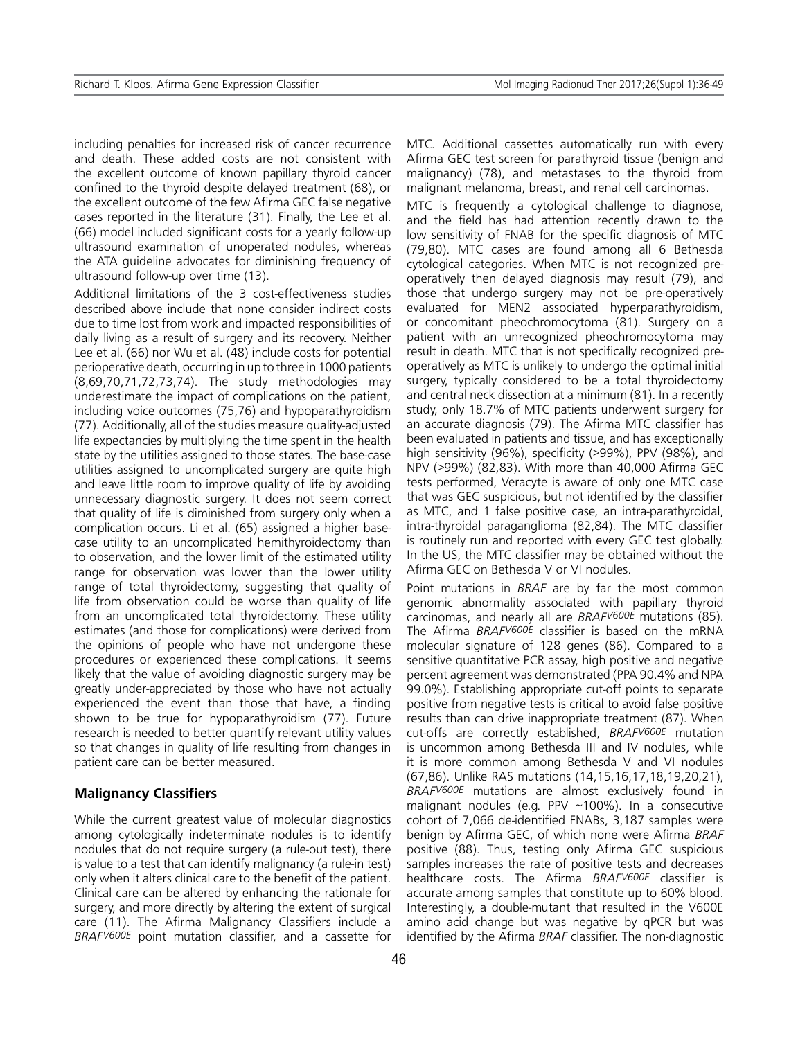including penalties for increased risk of cancer recurrence and death. These added costs are not consistent with the excellent outcome of known papillary thyroid cancer confined to the thyroid despite delayed treatment (68), or the excellent outcome of the few Afirma GEC false negative cases reported in the literature (31). Finally, the Lee et al. (66) model included significant costs for a yearly follow-up ultrasound examination of unoperated nodules, whereas the ATA guideline advocates for diminishing frequency of ultrasound follow-up over time (13).

Additional limitations of the 3 cost-effectiveness studies described above include that none consider indirect costs due to time lost from work and impacted responsibilities of daily living as a result of surgery and its recovery. Neither Lee et al. (66) nor Wu et al. (48) include costs for potential perioperative death, occurring in up to three in 1000 patients (8,69,70,71,72,73,74). The study methodologies may underestimate the impact of complications on the patient, including voice outcomes (75,76) and hypoparathyroidism (77). Additionally, all of the studies measure quality-adjusted life expectancies by multiplying the time spent in the health state by the utilities assigned to those states. The base-case utilities assigned to uncomplicated surgery are quite high and leave little room to improve quality of life by avoiding unnecessary diagnostic surgery. It does not seem correct that quality of life is diminished from surgery only when a complication occurs. Li et al. (65) assigned a higher basecase utility to an uncomplicated hemithyroidectomy than to observation, and the lower limit of the estimated utility range for observation was lower than the lower utility range of total thyroidectomy, suggesting that quality of life from observation could be worse than quality of life from an uncomplicated total thyroidectomy. These utility estimates (and those for complications) were derived from the opinions of people who have not undergone these procedures or experienced these complications. It seems likely that the value of avoiding diagnostic surgery may be greatly under-appreciated by those who have not actually experienced the event than those that have, a finding shown to be true for hypoparathyroidism (77). Future research is needed to better quantify relevant utility values so that changes in quality of life resulting from changes in patient care can be better measured.

### **Malignancy Classifiers**

While the current greatest value of molecular diagnostics among cytologically indeterminate nodules is to identify nodules that do not require surgery (a rule-out test), there is value to a test that can identify malignancy (a rule-in test) only when it alters clinical care to the benefit of the patient. Clinical care can be altered by enhancing the rationale for surgery, and more directly by altering the extent of surgical care (11). The Afirma Malignancy Classifiers include a *BRAFV600E* point mutation classifier, and a cassette for MTC. Additional cassettes automatically run with every Afirma GEC test screen for parathyroid tissue (benign and malignancy) (78), and metastases to the thyroid from malignant melanoma, breast, and renal cell carcinomas.

MTC is frequently a cytological challenge to diagnose, and the field has had attention recently drawn to the low sensitivity of FNAB for the specific diagnosis of MTC (79,80). MTC cases are found among all 6 Bethesda cytological categories. When MTC is not recognized preoperatively then delayed diagnosis may result (79), and those that undergo surgery may not be pre-operatively evaluated for MEN2 associated hyperparathyroidism, or concomitant pheochromocytoma (81). Surgery on a patient with an unrecognized pheochromocytoma may result in death. MTC that is not specifically recognized preoperatively as MTC is unlikely to undergo the optimal initial surgery, typically considered to be a total thyroidectomy and central neck dissection at a minimum (81). In a recently study, only 18.7% of MTC patients underwent surgery for an accurate diagnosis (79). The Afirma MTC classifier has been evaluated in patients and tissue, and has exceptionally high sensitivity (96%), specificity (>99%), PPV (98%), and NPV (>99%) (82,83). With more than 40,000 Afirma GEC tests performed, Veracyte is aware of only one MTC case that was GEC suspicious, but not identified by the classifier as MTC, and 1 false positive case, an intra-parathyroidal, intra-thyroidal paraganglioma (82,84). The MTC classifier is routinely run and reported with every GEC test globally. In the US, the MTC classifier may be obtained without the Afirma GEC on Bethesda V or VI nodules.

Point mutations in *BRAF* are by far the most common genomic abnormality associated with papillary thyroid carcinomas, and nearly all are *BRAFV600E* mutations (85). The Afirma *BRAFV600E* classifier is based on the mRNA molecular signature of 128 genes (86). Compared to a sensitive quantitative PCR assay, high positive and negative percent agreement was demonstrated (PPA 90.4% and NPA 99.0%). Establishing appropriate cut-off points to separate positive from negative tests is critical to avoid false positive results than can drive inappropriate treatment (87). When cut-offs are correctly established, *BRAFV600E* mutation is uncommon among Bethesda III and IV nodules, while it is more common among Bethesda V and VI nodules (67,86). Unlike RAS mutations (14,15,16,17,18,19,20,21), *BRAFV600E* mutations are almost exclusively found in malignant nodules (e.g. PPV ~100%). In a consecutive cohort of 7,066 de-identified FNABs, 3,187 samples were benign by Afirma GEC, of which none were Afirma *BRAF* positive (88). Thus, testing only Afirma GEC suspicious samples increases the rate of positive tests and decreases healthcare costs. The Afirma *BRAFV600E* classifier is accurate among samples that constitute up to 60% blood. Interestingly, a double-mutant that resulted in the V600E amino acid change but was negative by qPCR but was identified by the Afirma *BRAF* classifier. The non-diagnostic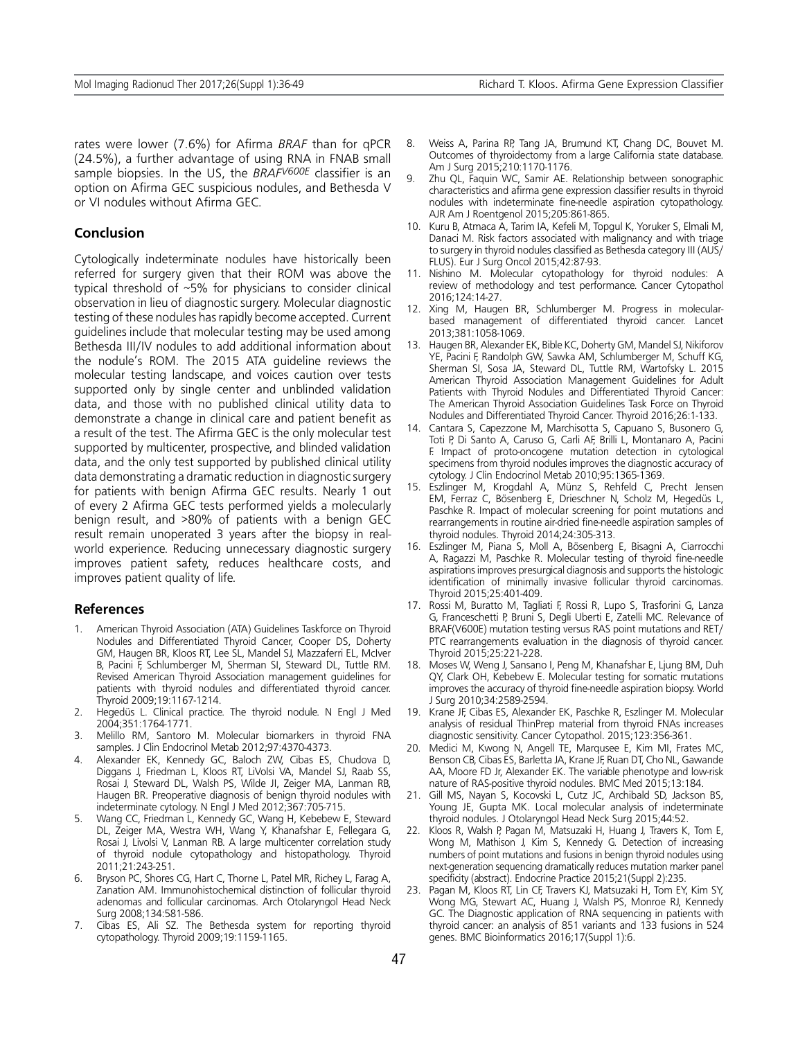rates were lower (7.6%) for Afirma *BRAF* than for qPCR (24.5%), a further advantage of using RNA in FNAB small sample biopsies. In the US, the *BRAFV600E* classifier is an option on Afirma GEC suspicious nodules, and Bethesda V or VI nodules without Afirma GEC.

### **Conclusion**

Cytologically indeterminate nodules have historically been referred for surgery given that their ROM was above the typical threshold of ~5% for physicians to consider clinical observation in lieu of diagnostic surgery. Molecular diagnostic testing of these nodules has rapidly become accepted. Current guidelines include that molecular testing may be used among Bethesda III/IV nodules to add additional information about the nodule's ROM. The 2015 ATA guideline reviews the molecular testing landscape, and voices caution over tests supported only by single center and unblinded validation data, and those with no published clinical utility data to demonstrate a change in clinical care and patient benefit as a result of the test. The Afirma GEC is the only molecular test supported by multicenter, prospective, and blinded validation data, and the only test supported by published clinical utility data demonstrating a dramatic reduction in diagnostic surgery for patients with benign Afirma GEC results. Nearly 1 out of every 2 Afirma GEC tests performed yields a molecularly benign result, and >80% of patients with a benign GEC result remain unoperated 3 years after the biopsy in realworld experience. Reducing unnecessary diagnostic surgery improves patient safety, reduces healthcare costs, and improves patient quality of life.

#### **References**

- 1. American Thyroid Association (ATA) Guidelines Taskforce on Thyroid Nodules and Differentiated Thyroid Cancer, Cooper DS, Doherty GM, Haugen BR, Kloos RT, Lee SL, Mandel SJ, Mazzaferri EL, McIver B, Pacini F, Schlumberger M, Sherman SI, Steward DL, Tuttle RM. Revised American Thyroid Association management guidelines for patients with thyroid nodules and differentiated thyroid cancer. Thyroid 2009;19:1167-1214.
- 2. Hegedüs L. Clinical practice. The thyroid nodule. N Engl J Med 2004;351:1764-1771.
- 3. Melillo RM, Santoro M. Molecular biomarkers in thyroid FNA samples. J Clin Endocrinol Metab 2012;97:4370-4373.
- 4. Alexander EK, Kennedy GC, Baloch ZW, Cibas ES, Chudova D, Diggans J, Friedman L, Kloos RT, LiVolsi VA, Mandel SJ, Raab SS, Rosai J, Steward DL, Walsh PS, Wilde JI, Zeiger MA, Lanman RB, Haugen BR. Preoperative diagnosis of benign thyroid nodules with indeterminate cytology. N Engl J Med 2012;367:705-715.
- 5. Wang CC, Friedman L, Kennedy GC, Wang H, Kebebew E, Steward DL, Zeiger MA, Westra WH, Wang Y, Khanafshar E, Fellegara G, Rosai J, Livolsi V, Lanman RB. A large multicenter correlation study of thyroid nodule cytopathology and histopathology. Thyroid 2011;21:243-251.
- Bryson PC, Shores CG, Hart C, Thorne L, Patel MR, Richey L, Farag A, Zanation AM. Immunohistochemical distinction of follicular thyroid adenomas and follicular carcinomas. Arch Otolaryngol Head Neck Surg 2008;134:581-586.
- 7. Cibas ES, Ali SZ. The Bethesda system for reporting thyroid cytopathology. Thyroid 2009;19:1159-1165.
- 8. Weiss A, Parina RP, Tang JA, Brumund KT, Chang DC, Bouvet M. Outcomes of thyroidectomy from a large California state database. Am J Surg 2015;210:1170-1176.
- 9. Zhu QL, Faquin WC, Samir AE. Relationship between sonographic characteristics and afirma gene expression classifier results in thyroid nodules with indeterminate fine-needle aspiration cytopathology. AJR Am J Roentgenol 2015;205:861-865.
- 10. Kuru B, Atmaca A, Tarim IA, Kefeli M, Topgul K, Yoruker S, Elmali M, Danaci M. Risk factors associated with malignancy and with triage to surgery in thyroid nodules classified as Bethesda category III (AUS/ FLUS). Eur J Surg Oncol 2015;42:87-93.
- 11. Nishino M. Molecular cytopathology for thyroid nodules: A review of methodology and test performance. Cancer Cytopathol 2016;124:14-27.
- 12. Xing M, Haugen BR, Schlumberger M. Progress in molecularbased management of differentiated thyroid cancer. Lancet 2013;381:1058-1069.
- 13. Haugen BR, Alexander EK, Bible KC, Doherty GM, Mandel SJ, Nikiforov YE, Pacini F, Randolph GW, Sawka AM, Schlumberger M, Schuff KG, Sherman SI, Sosa JA, Steward DL, Tuttle RM, Wartofsky L. 2015 American Thyroid Association Management Guidelines for Adult Patients with Thyroid Nodules and Differentiated Thyroid Cancer: The American Thyroid Association Guidelines Task Force on Thyroid Nodules and Differentiated Thyroid Cancer. Thyroid 2016;26:1-133.
- 14. Cantara S, Capezzone M, Marchisotta S, Capuano S, Busonero G, Toti P, Di Santo A, Caruso G, Carli AF, Brilli L, Montanaro A, Pacini F. Impact of proto-oncogene mutation detection in cytological specimens from thyroid nodules improves the diagnostic accuracy of cytology. J Clin Endocrinol Metab 2010;95:1365-1369.
- 15. Eszlinger M, Krogdahl A, Münz S, Rehfeld C, Precht Jensen EM, Ferraz C, Bösenberg E, Drieschner N, Scholz M, Hegedüs L, Paschke R. Impact of molecular screening for point mutations and rearrangements in routine air-dried fine-needle aspiration samples of thyroid nodules. Thyroid 2014;24:305-313.
- 16. Eszlinger M, Piana S, Moll A, Bösenberg E, Bisagni A, Ciarrocchi A, Ragazzi M, Paschke R. Molecular testing of thyroid fine-needle aspirations improves presurgical diagnosis and supports the histologic identification of minimally invasive follicular thyroid carcinomas. Thyroid 2015;25:401-409.
- 17. Rossi M, Buratto M, Tagliati F, Rossi R, Lupo S, Trasforini G, Lanza G, Franceschetti P, Bruni S, Degli Uberti E, Zatelli MC. Relevance of BRAF(V600E) mutation testing versus RAS point mutations and RET/ PTC rearrangements evaluation in the diagnosis of thyroid cancer. Thyroid 2015;25:221-228.
- 18. Moses W, Weng J, Sansano I, Peng M, Khanafshar E, Ljung BM, Duh QY, Clark OH, Kebebew E. Molecular testing for somatic mutations improves the accuracy of thyroid fine-needle aspiration biopsy. World J Surg 2010;34:2589-2594.
- 19. Krane JF, Cibas ES, Alexander EK, Paschke R, Eszlinger M. Molecular analysis of residual ThinPrep material from thyroid FNAs increases diagnostic sensitivity. Cancer Cytopathol. 2015;123:356-361.
- 20. Medici M, Kwong N, Angell TE, Marqusee E, Kim MI, Frates MC, Benson CB, Cibas ES, Barletta JA, Krane JF, Ruan DT, Cho NL, Gawande AA, Moore FD Jr, Alexander EK. The variable phenotype and low-risk nature of RAS-positive thyroid nodules. BMC Med 2015;13:184.
- 21. Gill MS, Nayan S, Kocovski L, Cutz JC, Archibald SD, Jackson BS, Young JE, Gupta MK. Local molecular analysis of indeterminate thyroid nodules. J Otolaryngol Head Neck Surg 2015;44:52.
- 22. Kloos R, Walsh P, Pagan M, Matsuzaki H, Huang J, Travers K, Tom E, Wong M, Mathison J, Kim S, Kennedy G. Detection of increasing numbers of point mutations and fusions in benign thyroid nodules using next-generation sequencing dramatically reduces mutation marker panel specificity (abstract). Endocrine Practice 2015;21(Suppl 2):235.
- 23. Pagan M, Kloos RT, Lin CF, Travers KJ, Matsuzaki H, Tom EY, Kim SY, Wong MG, Stewart AC, Huang J, Walsh PS, Monroe RJ, Kennedy GC. The Diagnostic application of RNA sequencing in patients with thyroid cancer: an analysis of 851 variants and 133 fusions in 524 genes. BMC Bioinformatics 2016;17(Suppl 1):6.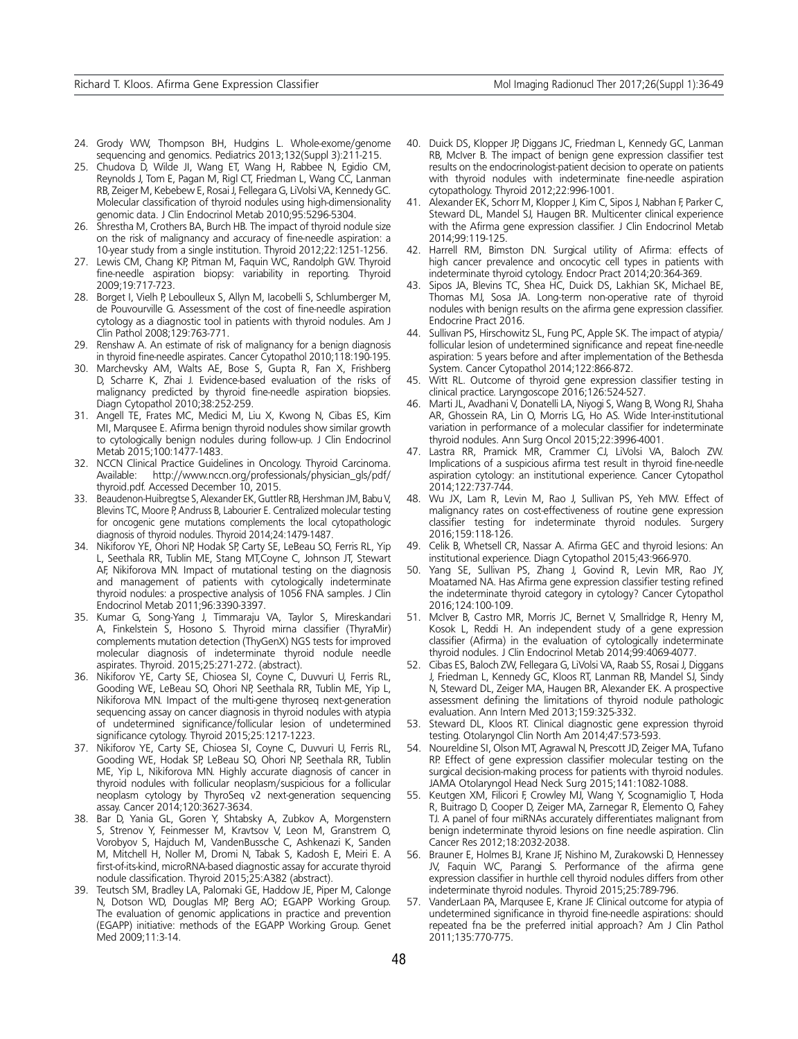- 24. Grody WW, Thompson BH, Hudgins L. Whole-exome/genome sequencing and genomics. Pediatrics 2013;132(Suppl 3):211-215.
- 25. Chudova D, Wilde JI, Wang ET, Wang H, Rabbee N, Egidio CM, Reynolds J, Tom E, Pagan M, Rigl CT, Friedman L, Wang CC, Lanman RB, Zeiger M, Kebebew E, Rosai J, Fellegara G, LiVolsi VA, Kennedy GC. Molecular classification of thyroid nodules using high-dimensionality genomic data. J Clin Endocrinol Metab 2010;95:5296-5304.
- 26. Shrestha M, Crothers BA, Burch HB. The impact of thyroid nodule size on the risk of malignancy and accuracy of fine-needle aspiration: a 10-year study from a single institution. Thyroid 2012;22:1251-1256.
- 27. Lewis CM, Chang KP, Pitman M, Faquin WC, Randolph GW. Thyroid fine-needle aspiration biopsy: variability in reporting. Thyroid 2009;19:717-723.
- 28. Borget I, Vielh P, Leboulleux S, Allyn M, Iacobelli S, Schlumberger M, de Pouvourville G. Assessment of the cost of fine-needle aspiration cytology as a diagnostic tool in patients with thyroid nodules. Am J Clin Pathol 2008;129:763-771.
- 29. Renshaw A. An estimate of risk of malignancy for a benign diagnosis in thyroid fine-needle aspirates. Cancer Cytopathol 2010;118:190-195.
- 30. Marchevsky AM, Walts AE, Bose S, Gupta R, Fan X, Frishberg D, Scharre K, Zhai J. Evidence-based evaluation of the risks of malignancy predicted by thyroid fine-needle aspiration biopsies. Diagn Cytopathol 2010;38:252-259.
- 31. Angell TE, Frates MC, Medici M, Liu X, Kwong N, Cibas ES, Kim MI, Marqusee E. Afirma benign thyroid nodules show similar growth to cytologically benign nodules during follow-up. J Clin Endocrinol Metab 2015;100:1477-1483.
- 32. NCCN Clinical Practice Guidelines in Oncology. Thyroid Carcinoma. Available: http://www.nccn.org/professionals/physician\_gls/pdf/ thyroid.pdf. Accessed December 10, 2015.
- 33. Beaudenon-Huibregtse S, Alexander EK, Guttler RB, Hershman JM, Babu V, Blevins TC, Moore P, Andruss B, Labourier E. Centralized molecular testing for oncogenic gene mutations complements the local cytopathologic diagnosis of thyroid nodules. Thyroid 2014;24:1479-1487.
- 34. Nikiforov YE, Ohori NP, Hodak SP, Carty SE, LeBeau SO, Ferris RL, Yip L, Seethala RR, Tublin ME, Stang MT,Coyne C, Johnson JT, Stewart AF, Nikiforova MN. Impact of mutational testing on the diagnosis and management of patients with cytologically indeterminate thyroid nodules: a prospective analysis of 1056 FNA samples. J Clin Endocrinol Metab 2011;96:3390-3397.
- 35. Kumar G, Song-Yang J, Timmaraju VA, Taylor S, Mireskandari A, Finkelstein S, Hosono S. Thyroid mirna classifier (ThyraMir) complements mutation detection (ThyGenX) NGS tests for improved molecular diagnosis of indeterminate thyroid nodule needle aspirates. Thyroid. 2015;25:271-272. (abstract).
- 36. Nikiforov YE, Carty SE, Chiosea SI, Coyne C, Duvvuri U, Ferris RL, Gooding WE, LeBeau SO, Ohori NP, Seethala RR, Tublin ME, Yip L, Nikiforova MN. Impact of the multi-gene thyroseq next-generation sequencing assay on cancer diagnosis in thyroid nodules with atypia of undetermined significance/follicular lesion of undetermined significance cytology. Thyroid 2015;25:1217-1223.
- 37. Nikiforov YE, Carty SE, Chiosea SI, Coyne C, Duvvuri U, Ferris RL, Gooding WE, Hodak SP, LeBeau SO, Ohori NP, Seethala RR, Tublin ME, Yip L, Nikiforova MN. Highly accurate diagnosis of cancer in thyroid nodules with follicular neoplasm/suspicious for a follicular neoplasm cytology by ThyroSeq v2 next-generation sequencing assay. Cancer 2014;120:3627-3634.
- 38. Bar D, Yania GL, Goren Y, Shtabsky A, Zubkov A, Morgenstern S, Strenov Y, Feinmesser M, Kravtsov V, Leon M, Granstrem O, Vorobyov S, Hajduch M, VandenBussche C, Ashkenazi K, Sanden M, Mitchell H, Noller M, Dromi N, Tabak S, Kadosh E, Meiri E. A first-of-its-kind, microRNA-based diagnostic assay for accurate thyroid nodule classification. Thyroid 2015;25:A382 (abstract).
- 39. Teutsch SM, Bradley LA, Palomaki GE, Haddow JE, Piper M, Calonge N, Dotson WD, Douglas MP, Berg AO; EGAPP Working Group. The evaluation of genomic applications in practice and prevention (EGAPP) initiative: methods of the EGAPP Working Group. Genet Med 2009;11:3-14.
- 40. Duick DS, Klopper JP, Diggans JC, Friedman L, Kennedy GC, Lanman RB, McIver B. The impact of benign gene expression classifier test results on the endocrinologist-patient decision to operate on patients with thyroid nodules with indeterminate fine-needle aspiration cytopathology. Thyroid 2012;22:996-1001.
- 41. Alexander EK, Schorr M, Klopper J, Kim C, Sipos J, Nabhan F, Parker C, Steward DL, Mandel SJ, Haugen BR. Multicenter clinical experience with the Afirma gene expression classifier. J Clin Endocrinol Metab 2014;99:119-125.
- 42. Harrell RM, Bimston DN. Surgical utility of Afirma: effects of high cancer prevalence and oncocytic cell types in patients with indeterminate thyroid cytology. Endocr Pract 2014;20:364-369.
- 43. Sipos JA, Blevins TC, Shea HC, Duick DS, Lakhian SK, Michael BE, Thomas MJ, Sosa JA. Long-term non-operative rate of thyroid nodules with benign results on the afirma gene expression classifier. Endocrine Pract 2016.
- 44. Sullivan PS, Hirschowitz SL, Fung PC, Apple SK. The impact of atypia/ follicular lesion of undetermined significance and repeat fine-needle aspiration: 5 years before and after implementation of the Bethesda System. Cancer Cytopathol 2014;122:866-872.
- 45. Witt RL. Outcome of thyroid gene expression classifier testing in clinical practice. Laryngoscope 2016;126:524-527.
- 46. Marti JL, Avadhani V, Donatelli LA, Niyogi S, Wang B, Wong RJ, Shaha AR, Ghossein RA, Lin O, Morris LG, Ho AS. Wide Inter-institutional variation in performance of a molecular classifier for indeterminate thyroid nodules. Ann Surg Oncol 2015;22:3996-4001.
- 47. Lastra RR, Pramick MR, Crammer CJ, LiVolsi VA, Baloch ZW. Implications of a suspicious afirma test result in thyroid fine-needle aspiration cytology: an institutional experience. Cancer Cytopathol 2014;122:737-744.
- 48. Wu JX, Lam R, Levin M, Rao J, Sullivan PS, Yeh MW. Effect of malignancy rates on cost-effectiveness of routine gene expression classifier testing for indeterminate thyroid nodules. Surgery 2016;159:118-126.
- 49. Celik B, Whetsell CR, Nassar A. Afirma GEC and thyroid lesions: An institutional experience. Diagn Cytopathol 2015;43:966-970.
- 50. Yang SE, Sullivan PS, Zhang J, Govind R, Levin MR, Rao JY, Moatamed NA. Has Afirma gene expression classifier testing refined the indeterminate thyroid category in cytology? Cancer Cytopathol 2016;124:100-109.
- 51. McIver B, Castro MR, Morris JC, Bernet V, Smallridge R, Henry M, Kosok L, Reddi H. An independent study of a gene expression classifier (Afirma) in the evaluation of cytologically indeterminate thyroid nodules. J Clin Endocrinol Metab 2014;99:4069-4077.
- 52. Cibas ES, Baloch ZW, Fellegara G, LiVolsi VA, Raab SS, Rosai J, Diggans J, Friedman L, Kennedy GC, Kloos RT, Lanman RB, Mandel SJ, Sindy N, Steward DL, Zeiger MA, Haugen BR, Alexander EK. A prospective assessment defining the limitations of thyroid nodule pathologic evaluation. Ann Intern Med 2013;159:325-332.
- 53. Steward DL, Kloos RT. Clinical diagnostic gene expression thyroid testing. Otolaryngol Clin North Am 2014;47:573-593.
- 54. Noureldine SI, Olson MT, Agrawal N, Prescott JD, Zeiger MA, Tufano RP. Effect of gene expression classifier molecular testing on the surgical decision-making process for patients with thyroid nodules. JAMA Otolaryngol Head Neck Surg 2015;141:1082-1088.
- 55. Keutgen XM, Filicori F, Crowley MJ, Wang Y, Scognamiglio T, Hoda R, Buitrago D, Cooper D, Zeiger MA, Zarnegar R, Elemento O, Fahey TJ. A panel of four miRNAs accurately differentiates malignant from benign indeterminate thyroid lesions on fine needle aspiration. Clin Cancer Res 2012;18:2032-2038.
- 56. Brauner E, Holmes BJ, Krane JF, Nishino M, Zurakowski D, Hennessey JV, Faquin WC, Parangi S. Performance of the afirma gene expression classifier in hurthle cell thyroid nodules differs from other indeterminate thyroid nodules. Thyroid 2015;25:789-796.
- 57. VanderLaan PA, Marqusee E, Krane JF. Clinical outcome for atypia of undetermined significance in thyroid fine-needle aspirations: should repeated fna be the preferred initial approach? Am J Clin Pathol 2011;135:770-775.